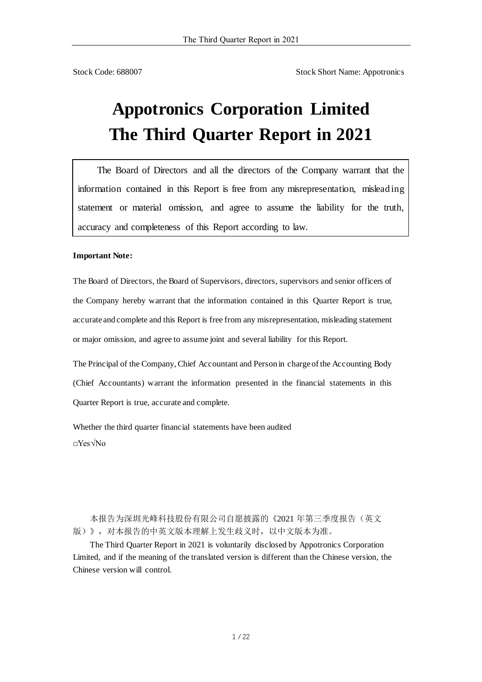Stock Code: 688007 Stock Short Name: Appotronics

# **Appotronics Corporation Limited The Third Quarter Report in 2021**

The Board of Directors and all the directors of the Company warrant that the information contained in this Report is free from any misrepresentation, misleading statement or material omission, and agree to assume the liability for the truth, accuracy and completeness of this Report according to law.

#### **Important Note:**

The Board of Directors, the Board of Supervisors, directors, supervisors and senior officers of the Company hereby warrant that the information contained in this Quarter Report is true, accurate and complete and this Report is free from any misrepresentation, misleading statement or major omission, and agree to assume joint and several liability for this Report.

The Principal of the Company, Chief Accountant and Person in charge of the Accounting Body (Chief Accountants) warrant the information presented in the financial statements in this Quarter Report is true, accurate and complete.

Whether the third quarter financial statements have been audited □Yes√No

本报告为深圳光峰科技股份有限公司自愿披露的《2021 年第三季度报告(英文 版)》,对本报告的中英文版本理解上发生歧义时,以中文版本为准。

The Third Quarter Report in 2021 is voluntarily disclosed by Appotronics Corporation Limited, and if the meaning of the translated version is different than the Chinese version, the Chinese version will control.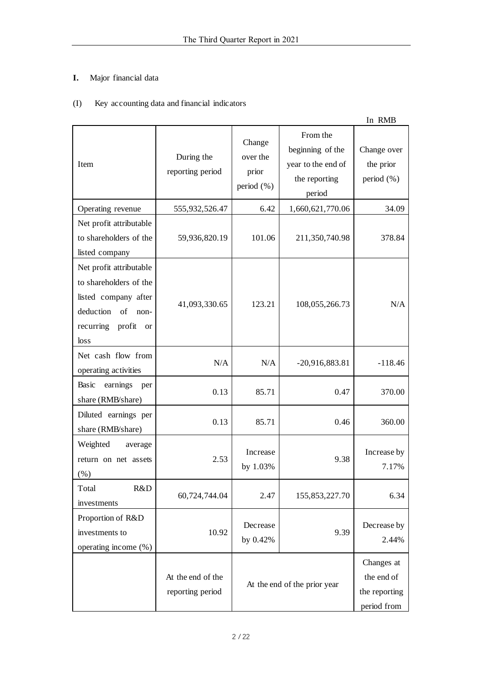# **I.** Major financial data

# (I) Key accounting data and financial indicators

|                                                                                                                                                      |                                       |                                           |                                                                               | In RMB                                                   |
|------------------------------------------------------------------------------------------------------------------------------------------------------|---------------------------------------|-------------------------------------------|-------------------------------------------------------------------------------|----------------------------------------------------------|
| Item                                                                                                                                                 | During the<br>reporting period        | Change<br>over the<br>prior<br>period (%) | From the<br>beginning of the<br>year to the end of<br>the reporting<br>period | Change over<br>the prior<br>period (%)                   |
| Operating revenue                                                                                                                                    | 555,932,526.47                        | 6.42                                      | 1,660,621,770.06                                                              | 34.09                                                    |
| Net profit attributable<br>to shareholders of the<br>listed company                                                                                  | 59,936,820.19                         | 101.06                                    | 211,350,740.98                                                                | 378.84                                                   |
| Net profit attributable<br>to shareholders of the<br>listed company after<br>deduction<br>of<br>non-<br>recurring<br>profit<br><sub>or</sub><br>loss | 41,093,330.65                         | 123.21                                    | 108,055,266.73                                                                | N/A                                                      |
| Net cash flow from<br>operating activities                                                                                                           | N/A                                   | N/A                                       | $-20,916,883.81$                                                              | $-118.46$                                                |
| Basic<br>earnings<br>per<br>share (RMB/share)                                                                                                        | 0.13                                  | 85.71                                     | 0.47                                                                          | 370.00                                                   |
| Diluted earnings per<br>share (RMB/share)                                                                                                            | 0.13                                  | 85.71                                     | 0.46                                                                          | 360.00                                                   |
| Weighted<br>average<br>return on net assets<br>(% )                                                                                                  | 2.53                                  | Increase<br>by 1.03%                      | 9.38                                                                          | Increase by<br>7.17%                                     |
| R&D<br>Total<br>investments                                                                                                                          | 60,724,744.04                         | 2.47                                      | 155,853,227.70                                                                | 6.34                                                     |
| Proportion of R&D<br>investments to<br>operating income (%)                                                                                          | 10.92                                 | Decrease<br>by 0.42%                      | 9.39                                                                          | Decrease by<br>2.44%                                     |
|                                                                                                                                                      | At the end of the<br>reporting period | At the end of the prior year              |                                                                               | Changes at<br>the end of<br>the reporting<br>period from |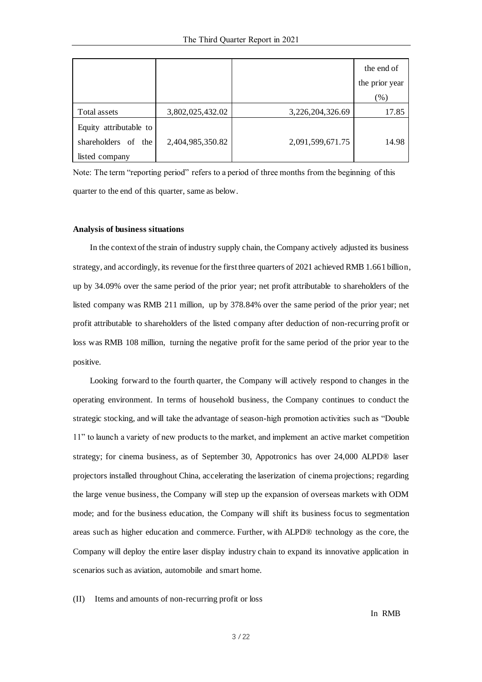|                        |                  |                  | the end of     |
|------------------------|------------------|------------------|----------------|
|                        |                  |                  | the prior year |
|                        |                  |                  | (%)            |
| Total assets           | 3,802,025,432.02 | 3,226,204,326.69 | 17.85          |
| Equity attributable to |                  |                  |                |
| shareholders of the    | 2,404,985,350.82 | 2,091,599,671.75 | 14.98          |
| listed company         |                  |                  |                |

Note: The term "reporting period" refers to a period of three months from the beginning of this quarter to the end of this quarter, same as below.

#### **Analysis of business situations**

In the context of the strain of industry supply chain, the Company actively adjusted its business strategy, and accordingly, its revenue for the first three quarters of 2021 achieved RMB 1.661 billion, up by 34.09% over the same period of the prior year; net profit attributable to shareholders of the listed company was RMB 211 million, up by 378.84% over the same period of the prior year; net profit attributable to shareholders of the listed company after deduction of non-recurring profit or loss was RMB 108 million, turning the negative profit for the same period of the prior year to the positive.

Looking forward to the fourth quarter, the Company will actively respond to changes in the operating environment. In terms of household business, the Company continues to conduct the strategic stocking, and will take the advantage of season-high promotion activities such as "Double 11" to launch a variety of new products to the market, and implement an active market competition strategy; for cinema business, as of September 30, Appotronics has over 24,000 ALPD® laser projectors installed throughout China, accelerating the laserization of cinema projections; regarding the large venue business, the Company will step up the expansion of overseas markets with ODM mode; and for the business education, the Company will shift its business focus to segmentation areas such as higher education and commerce. Further, with ALPD® technology as the core, the Company will deploy the entire laser display industry chain to expand its innovative application in scenarios such as aviation, automobile and smart home.

(II) Items and amounts of non-recurring profit or loss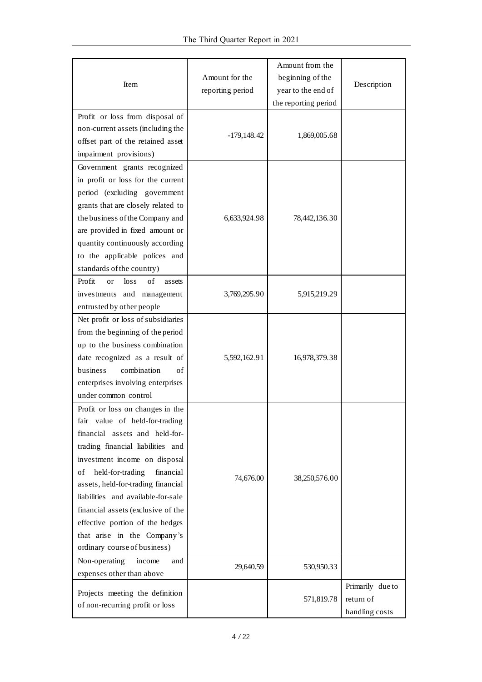| Item                                                                                                                                                                                                                                                                                                                                                                                                                                     | Amount for the<br>reporting period | Amount from the<br>beginning of the<br>year to the end of<br>the reporting period | Description                                     |
|------------------------------------------------------------------------------------------------------------------------------------------------------------------------------------------------------------------------------------------------------------------------------------------------------------------------------------------------------------------------------------------------------------------------------------------|------------------------------------|-----------------------------------------------------------------------------------|-------------------------------------------------|
| Profit or loss from disposal of<br>non-current assets (including the<br>offset part of the retained asset<br>impairment provisions)                                                                                                                                                                                                                                                                                                      | $-179,148.42$                      | 1,869,005.68                                                                      |                                                 |
| Government grants recognized<br>in profit or loss for the current<br>period (excluding government<br>grants that are closely related to<br>the business of the Company and<br>are provided in fixed amount or<br>quantity continuously according<br>to the applicable polices and<br>standards of the country)                                                                                                                           | 6,633,924.98                       | 78,442,136.30                                                                     |                                                 |
| Profit<br>of<br>$\log s$<br>as sets<br><sub>or</sub><br>investments and management<br>entrusted by other people                                                                                                                                                                                                                                                                                                                          | 3,769,295.90                       | 5,915,219.29                                                                      |                                                 |
| Net profit or loss of subsidiaries<br>from the beginning of the period<br>up to the business combination<br>date recognized as a result of<br>combination<br>business<br>of<br>enterprises involving enterprises<br>under common control                                                                                                                                                                                                 | 5,592,162.91                       | 16,978,379.38                                                                     |                                                 |
| Profit or loss on changes in the<br>value of held-for-trading<br>fair<br>financial assets and held-for-<br>trading financial liabilities and<br>investment income on disposal<br>held-for-trading<br>financial<br>οf<br>assets, held-for-trading financial<br>liabilities and available-for-sale<br>financial assets (exclusive of the<br>effective portion of the hedges<br>that arise in the Company's<br>ordinary course of business) | 74,676.00                          | 38,250,576.00                                                                     |                                                 |
| Non-operating<br>income<br>and<br>expenses other than above                                                                                                                                                                                                                                                                                                                                                                              | 29,640.59                          | 530,950.33                                                                        |                                                 |
| Projects meeting the definition<br>of non-recurring profit or loss                                                                                                                                                                                                                                                                                                                                                                       |                                    | 571,819.78                                                                        | Primarily due to<br>return of<br>handling costs |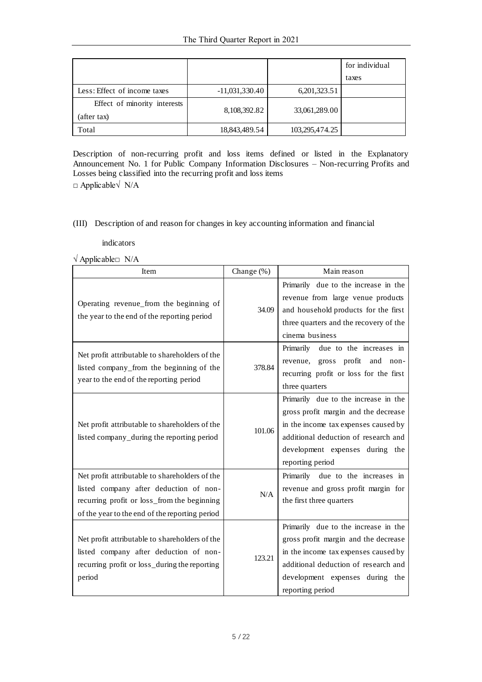|                                             |                  |                 | for individual |
|---------------------------------------------|------------------|-----------------|----------------|
|                                             |                  |                 | taxes          |
| Less: Effect of income taxes                | $-11,031,330.40$ | 6, 201, 323. 51 |                |
| Effect of minority interests<br>(after tax) | 8,108,392.82     | 33,061,289.00   |                |
| Total                                       | 18,843,489.54    | 103,295,474.25  |                |

Description of non-recurring profit and loss items defined or listed in the Explanatory Announcement No. 1 for Public Company Information Disclosures – Non-recurring Profits and Losses being classified into the recurring profit and loss items □ Applicable√ N/A

#### (III) Description of and reason for changes in key accounting information and financial

indicators

√ Applicable□ N/A

| Item                                                                                                                                                                                      | Change $(\%)$ | Main reason                                                                                                                                                                                                         |
|-------------------------------------------------------------------------------------------------------------------------------------------------------------------------------------------|---------------|---------------------------------------------------------------------------------------------------------------------------------------------------------------------------------------------------------------------|
| Operating revenue_from the beginning of<br>the year to the end of the reporting period                                                                                                    | 34.09         | Primarily due to the increase in the<br>revenue from large venue products<br>and household products for the first<br>three quarters and the recovery of the<br>cinema business                                      |
| Net profit attributable to shareholders of the<br>listed company_from the beginning of the<br>year to the end of the reporting period                                                     | 378.84        | Primarily due to the increases in<br>revenue, gross profit and non-<br>recurring profit or loss for the first<br>three quarters                                                                                     |
| Net profit attributable to shareholders of the<br>listed company_during the reporting period                                                                                              | 101.06        | Primarily due to the increase in the<br>gross profit margin and the decrease<br>in the income tax expenses caused by<br>additional deduction of research and<br>development expenses during the<br>reporting period |
| Net profit attributable to shareholders of the<br>listed company after deduction of non-<br>recurring profit or loss_from the beginning<br>of the year to the end of the reporting period | N/A           | Primarily due to the increases in<br>revenue and gross profit margin for<br>the first three quarters                                                                                                                |
| Net profit attributable to shareholders of the<br>listed company after deduction of non-<br>recurring profit or loss_during the reporting<br>period                                       | 123.21        | Primarily due to the increase in the<br>gross profit margin and the decrease<br>in the income tax expenses caused by<br>additional deduction of research and<br>development expenses during the<br>reporting period |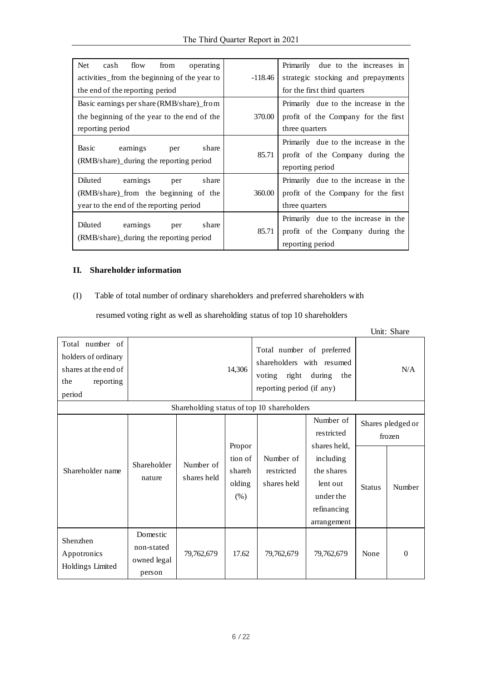| <b>Net</b><br>flow<br>from<br>cash<br>operating<br>activities from the beginning of the year to                         | -118.46 | Primarily due to the increases in<br>strategic stocking and prepayments                       |
|-------------------------------------------------------------------------------------------------------------------------|---------|-----------------------------------------------------------------------------------------------|
| the end of the reporting period                                                                                         |         | for the first third quarters                                                                  |
| Basic earnings per share (RMB/share) from                                                                               |         | Primarily due to the increase in the                                                          |
| the beginning of the year to the end of the                                                                             | 370.00  | profit of the Company for the first                                                           |
| reporting period                                                                                                        |         | three quarters                                                                                |
| Basic<br>share<br>earnings<br>per<br>(RMB/share) during the reporting period                                            | 85.71   | Primarily due to the increase in the<br>profit of the Company during the<br>reporting period  |
| Diluted<br>earnings<br>share<br>per<br>(RMB/share) from the beginning of the<br>year to the end of the reporting period | 360.00  | Primarily due to the increase in the<br>profit of the Company for the first<br>three quarters |
| Diluted<br>share<br>earnings<br>per<br>(RMB/share) during the reporting period                                          | 85.71   | Primarily due to the increase in the<br>profit of the Company during the<br>reporting period  |

## **II. Shareholder information**

## (I) Table of total number of ordinary shareholders and preferred shareholders with

resumed voting right as well as shareholding status of top 10 shareholders

|                                                                                              |                                                                                                                                                                                 |                          |                                                 |                                        |                                                                                                                           |               | Unit: Share                           |
|----------------------------------------------------------------------------------------------|---------------------------------------------------------------------------------------------------------------------------------------------------------------------------------|--------------------------|-------------------------------------------------|----------------------------------------|---------------------------------------------------------------------------------------------------------------------------|---------------|---------------------------------------|
| Total number of<br>holders of ordinary<br>shares at the end of<br>the<br>reporting<br>period | Total number of preferred<br>shareholders with resumed<br>14,306<br>right<br>voting<br>during<br>the<br>reporting period (if any)<br>Shareholding status of top 10 shareholders |                          |                                                 |                                        | N/A                                                                                                                       |               |                                       |
| Shareholder name                                                                             | Shareholder<br>nature                                                                                                                                                           | Number of<br>shares held | Propor<br>tion of<br>shareh<br>olding<br>$(\%)$ | Number of<br>restricted<br>shares held | Number of<br>restricted<br>shares held,<br>including<br>the shares<br>lent out<br>under the<br>refinancing<br>arrangement | <b>Status</b> | Shares pledged or<br>frozen<br>Number |
| Shenzhen<br>Appotronics<br>Holdings Limited                                                  | Domestic<br>non-stated<br>owned legal<br>person                                                                                                                                 | 79,762,679               | 17.62                                           | 79,762,679                             | 79,762,679                                                                                                                | None          | $\Omega$                              |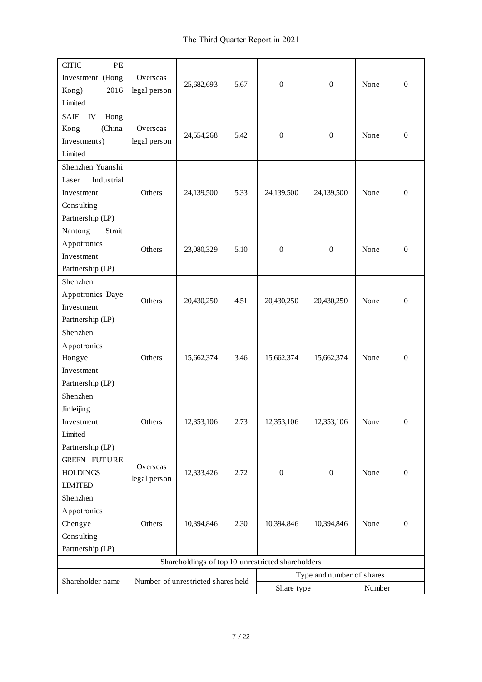| PE<br><b>CITIC</b><br>Investment (Hong<br>2016<br>Kong)                                 | Overseas<br>legal person | 25,682,693                         | 5.67 | $\overline{0}$                                    | $\mathbf{0}$     | None                                | $\boldsymbol{0}$ |
|-----------------------------------------------------------------------------------------|--------------------------|------------------------------------|------|---------------------------------------------------|------------------|-------------------------------------|------------------|
| Limited                                                                                 |                          |                                    |      |                                                   |                  |                                     |                  |
| <b>SAIF</b><br>${\rm IV}$<br>Hong<br>(China<br>Kong<br>Investments)<br>Limited          | Overseas<br>legal person | 24,554,268                         | 5.42 | $\boldsymbol{0}$                                  | $\boldsymbol{0}$ | None                                | $\boldsymbol{0}$ |
| Shenzhen Yuanshi<br>Industrial<br>Laser<br>Investment<br>Consulting<br>Partnership (LP) | Others                   | 24,139,500                         | 5.33 | 24,139,500                                        | 24,139,500       | None                                | $\boldsymbol{0}$ |
| Nantong<br>Strait<br>Appotronics<br>Investment<br>Partnership (LP)                      | Others                   | 23,080,329                         | 5.10 | $\boldsymbol{0}$                                  | $\mathbf{0}$     | None                                | $\boldsymbol{0}$ |
| Shenzhen<br>Appotronics Daye<br>Investment<br>Partnership (LP)                          | Others                   | 20,430,250                         | 4.51 | 20,430,250                                        | 20,430,250       | None                                | $\boldsymbol{0}$ |
| Shenzhen<br>Appotronics<br>Hongye<br>Investment<br>Partnership (LP)                     | Others                   | 15,662,374                         | 3.46 | 15,662,374                                        | 15,662,374       | None                                | $\boldsymbol{0}$ |
| Shenzhen<br>Jinleijing<br>Investment<br>Limited<br>Partnership (LP)                     | Others                   | 12,353,106                         | 2.73 | 12,353,106                                        | 12,353,106       | None                                | $\boldsymbol{0}$ |
| <b>GREEN FUTURE</b><br><b>HOLDINGS</b><br><b>LIMITED</b>                                | Overseas<br>legal person | 12,333,426                         | 2.72 | $\boldsymbol{0}$                                  | $\boldsymbol{0}$ | None                                | $\boldsymbol{0}$ |
| Shenzhen<br>Appotronics<br>Chengye<br>Consulting<br>Partnership (LP)                    | Others                   | 10,394,846                         | 2.30 | 10,394,846                                        | 10,394,846       | None                                | $\mathbf{0}$     |
|                                                                                         |                          |                                    |      | Shareholdings of top 10 unrestricted shareholders |                  |                                     |                  |
| Shareholder name                                                                        |                          | Number of unrestricted shares held |      | Share type                                        |                  | Type and number of shares<br>Number |                  |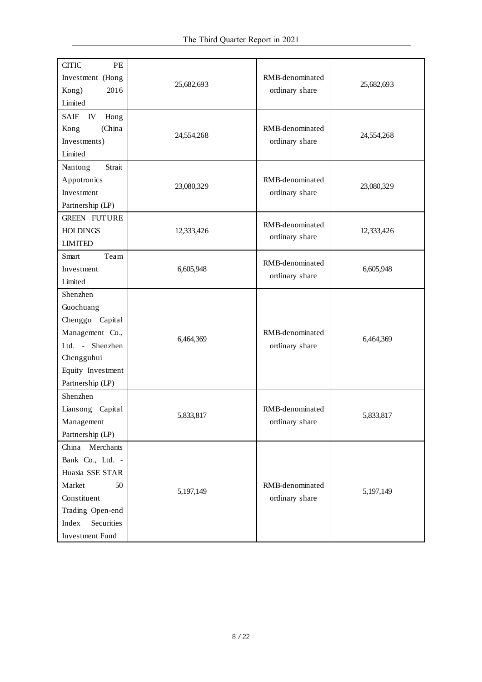| <b>CITIC</b><br>PE<br>Investment (Hong<br>2016<br>Kong)<br>Limited                                                                                  | 25,682,693 | RMB-denominated<br>ordinary share | 25,682,693 |
|-----------------------------------------------------------------------------------------------------------------------------------------------------|------------|-----------------------------------|------------|
| SAIF<br>IV<br>Hong<br>(China<br>Kong<br>Investments)<br>Limited                                                                                     | 24,554,268 | RMB-denominated<br>ordinary share | 24,554,268 |
| Strait<br>Nantong<br>Appotronics<br>Investment<br>Partnership (LP)                                                                                  | 23,080,329 | RMB-denominated<br>ordinary share | 23,080,329 |
| <b>GREEN FUTURE</b><br><b>HOLDINGS</b><br><b>LIMITED</b>                                                                                            | 12,333,426 | RMB-denominated<br>ordinary share | 12,333,426 |
| Team<br>Smart<br>Investment<br>Limited                                                                                                              | 6,605,948  | RMB-denominated<br>ordinary share | 6,605,948  |
| Shenzhen<br>Guochuang<br>Chenggu Capital<br>Management Co.,<br>Ltd. - Shenzhen<br>Chengguhui<br>Equity Investment<br>Partnership (LP)               | 6,464,369  | RMB-denominated<br>ordinary share | 6,464,369  |
| Shenzhen<br>Liansong<br>Capital<br>Management<br>Partnership (LP)                                                                                   | 5,833,817  | RMB-denominated<br>ordinary share | 5,833,817  |
| China Merchants<br>Bank Co., Ltd. -<br>Huaxia SSE STAR<br>50<br>Market<br>Constituent<br>Trading Open-end<br>Securities<br>Index<br>Investment Fund | 5,197,149  | RMB-denominated<br>ordinary share | 5,197,149  |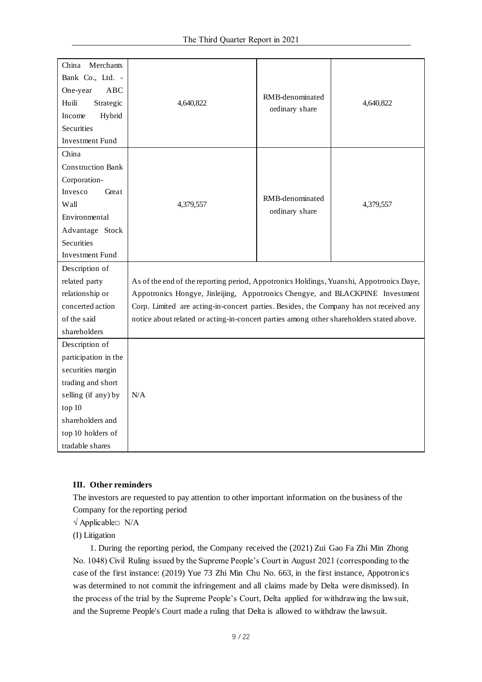| China<br>Merchants       |                                                                                          |                 |           |
|--------------------------|------------------------------------------------------------------------------------------|-----------------|-----------|
| Bank Co., Ltd. -         |                                                                                          |                 |           |
| One-year<br>ABC          |                                                                                          | RMB-denominated |           |
| Huili<br>Strategic       | 4,640,822                                                                                | ordinary share  | 4,640,822 |
| Hybrid<br>Income         |                                                                                          |                 |           |
| <b>Securities</b>        |                                                                                          |                 |           |
| <b>Investment Fund</b>   |                                                                                          |                 |           |
| China                    |                                                                                          |                 |           |
| <b>Construction Bank</b> |                                                                                          |                 |           |
| Corporation-             |                                                                                          |                 |           |
| Great<br>Invesco         |                                                                                          | RMB-denominated |           |
| Wall                     | 4,379,557                                                                                |                 | 4,379,557 |
| Environmental            |                                                                                          | ordinary share  |           |
| Advantage Stock          |                                                                                          |                 |           |
| Securities               |                                                                                          |                 |           |
| <b>Investment Fund</b>   |                                                                                          |                 |           |
| Description of           |                                                                                          |                 |           |
| related party            | As of the end of the reporting period, Appotronics Holdings, Yuanshi, Appotronics Daye,  |                 |           |
| relationship or          | Appotronics Hongye, Jinleijing, Appotronics Chengye, and BLACKPINE Investment            |                 |           |
| concerted action         | Corp. Limited are acting-in-concert parties. Besides, the Company has not received any   |                 |           |
| of the said              | notice about related or acting-in-concert parties among other shareholders stated above. |                 |           |
| shareholders             |                                                                                          |                 |           |
| Description of           |                                                                                          |                 |           |
| participation in the     |                                                                                          |                 |           |
| securities margin        |                                                                                          |                 |           |
| trading and short        |                                                                                          |                 |           |
| selling (if any) by      | N/A                                                                                      |                 |           |
| top 10                   |                                                                                          |                 |           |
| shareholders and         |                                                                                          |                 |           |
| top 10 holders of        |                                                                                          |                 |           |
| tradable shares          |                                                                                          |                 |           |

#### **III. Other reminders**

The investors are requested to pay attention to other important information on the business of the Company for the reporting period

 $\sqrt{\text{Apple}}$  N/A

(I) Litigation

1. During the reporting period, the Company received the (2021) Zui Gao Fa Zhi Min Zhong No. 1048) Civil Ruling issued by the Supreme People's Court in August 2021 (corresponding to the case of the first instance: (2019) Yue 73 Zhi Min Chu No. 663, in the first instance, Appotronics was determined to not commit the infringement and all claims made by Delta were dismissed). In the process of the trial by the Supreme People's Court, Delta applied for withdrawing the lawsuit, and the Supreme People's Court made a ruling that Delta is allowed to withdraw the lawsuit.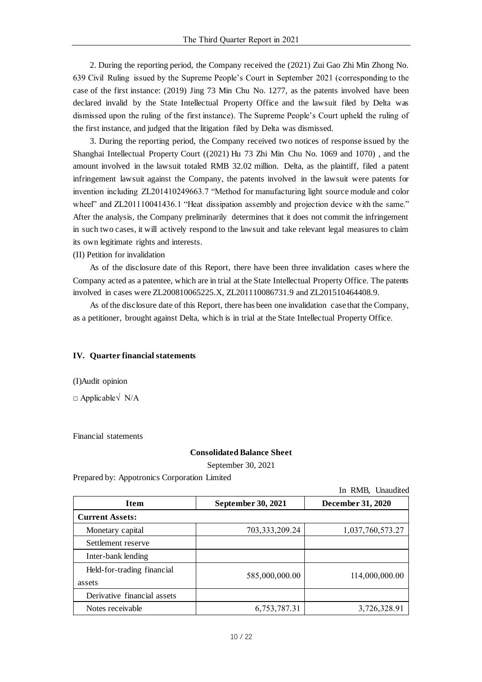2. During the reporting period, the Company received the (2021) Zui Gao Zhi Min Zhong No. 639 Civil Ruling issued by the Supreme People's Court in September 2021 (corresponding to the case of the first instance: (2019) Jing 73 Min Chu No. 1277, as the patents involved have been declared invalid by the State Intellectual Property Office and the lawsuit filed by Delta was dismissed upon the ruling of the first instance). The Supreme People's Court upheld the ruling of the first instance, and judged that the litigation filed by Delta was dismissed.

3. During the reporting period, the Company received two notices of response issued by the Shanghai Intellectual Property Court ((2021) Hu 73 Zhi Min Chu No. 1069 and 1070) , and the amount involved in the lawsuit totaled RMB 32.02 million. Delta, as the plaintiff, filed a patent infringement lawsuit against the Company, the patents involved in the lawsuit were patents for invention including ZL201410249663.7 "Method for manufacturing light source module and color wheel" and ZL201110041436.1 "Heat dissipation assembly and projection device with the same." After the analysis, the Company preliminarily determines that it does not commit the infringement in such two cases, it will actively respond to the lawsuit and take relevant legal measures to claim its own legitimate rights and interests.

(II) Petition for invalidation

As of the disclosure date of this Report, there have been three invalidation cases where the Company acted as a patentee, which are in trial at the State Intellectual Property Office. The patents involved in cases were ZL200810065225.X, ZL201110086731.9 and ZL201510464408.9.

As of the disclosure date of this Report, there has been one invalidation case that the Company, as a petitioner, brought against Delta, which is in trial at the State Intellectual Property Office.

#### **IV. Quarter financial statements**

(I)Audit opinion

□ Applicable√ N/A

Financial statements

#### **Consolidated Balance Sheet**

 $\mathbf{D} \mathbf{D} \mathbf{D}$ 

September 30, 2021

Prepared by: Appotronics Corporation Limited

|                             |                    | In Rivib, Unaudited      |
|-----------------------------|--------------------|--------------------------|
| <b>Item</b>                 | September 30, 2021 | <b>December 31, 2020</b> |
| <b>Current Assets:</b>      |                    |                          |
| Monetary capital            | 703,333,209.24     | 1,037,760,573.27         |
| Settlement reserve          |                    |                          |
| Inter-bank lending          |                    |                          |
| Held-for-trading financial  | 585,000,000.00     | 114,000,000.00           |
| assets                      |                    |                          |
| Derivative financial assets |                    |                          |
| Notes receivable            | 6,753,787.31       | 3,726,328.91             |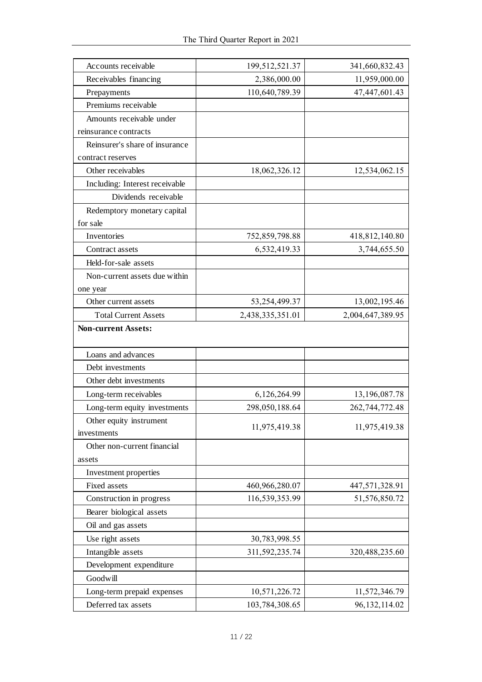| 2,386,000.00<br>Receivables financing<br>11,959,000.00<br>110,640,789.39<br>47, 447, 601. 43<br>Prepayments<br>Premiums receivable<br>Amounts receivable under<br>reinsurance contracts<br>Reinsurer's share of insurance<br>contract reserves<br>Other receivables<br>18,062,326.12<br>12,534,062.15<br>Including: Interest receivable<br>Dividends receivable<br>Redemptory monetary capital<br>for sale<br>Inventories<br>418,812,140.80<br>752,859,798.88<br>6,532,419.33<br>3,744,655.50<br>Contract assets<br>Held-for-sale assets<br>Non-current assets due within<br>one year<br>53,254,499.37<br>13,002,195.46<br>Other current assets<br>2,438,335,351.01<br><b>Total Current Assets</b><br>2,004,647,389.95<br><b>Non-current Assets:</b><br>Loans and advances<br>Debt investments<br>Other debt investments<br>Long-term receivables<br>6,126,264.99<br>13,196,087.78<br>Long-term equity investments<br>298,050,188.64<br>262,744,772.48<br>Other equity instrument<br>11,975,419.38<br>11,975,419.38<br>investments<br>Other non-current financial<br>assets<br>Investment properties<br>Fixed assets<br>460,966,280.07<br>447,571,328.91<br>Construction in progress<br>116,539,353.99<br>51,576,850.72<br>Bearer biological assets<br>Oil and gas assets<br>Use right assets<br>30,783,998.55<br>Intangible assets<br>311,592,235.74<br>320,488,235.60<br>Development expenditure<br>Goodwill<br>Long-term prepaid expenses<br>10,571,226.72<br>11,572,346.79<br>Deferred tax assets<br>103,784,308.65<br>96, 132, 114.02 |                     |                |                |
|--------------------------------------------------------------------------------------------------------------------------------------------------------------------------------------------------------------------------------------------------------------------------------------------------------------------------------------------------------------------------------------------------------------------------------------------------------------------------------------------------------------------------------------------------------------------------------------------------------------------------------------------------------------------------------------------------------------------------------------------------------------------------------------------------------------------------------------------------------------------------------------------------------------------------------------------------------------------------------------------------------------------------------------------------------------------------------------------------------------------------------------------------------------------------------------------------------------------------------------------------------------------------------------------------------------------------------------------------------------------------------------------------------------------------------------------------------------------------------------------------------------------------------------------|---------------------|----------------|----------------|
|                                                                                                                                                                                                                                                                                                                                                                                                                                                                                                                                                                                                                                                                                                                                                                                                                                                                                                                                                                                                                                                                                                                                                                                                                                                                                                                                                                                                                                                                                                                                            | Accounts receivable | 199,512,521.37 | 341,660,832.43 |
|                                                                                                                                                                                                                                                                                                                                                                                                                                                                                                                                                                                                                                                                                                                                                                                                                                                                                                                                                                                                                                                                                                                                                                                                                                                                                                                                                                                                                                                                                                                                            |                     |                |                |
|                                                                                                                                                                                                                                                                                                                                                                                                                                                                                                                                                                                                                                                                                                                                                                                                                                                                                                                                                                                                                                                                                                                                                                                                                                                                                                                                                                                                                                                                                                                                            |                     |                |                |
|                                                                                                                                                                                                                                                                                                                                                                                                                                                                                                                                                                                                                                                                                                                                                                                                                                                                                                                                                                                                                                                                                                                                                                                                                                                                                                                                                                                                                                                                                                                                            |                     |                |                |
|                                                                                                                                                                                                                                                                                                                                                                                                                                                                                                                                                                                                                                                                                                                                                                                                                                                                                                                                                                                                                                                                                                                                                                                                                                                                                                                                                                                                                                                                                                                                            |                     |                |                |
|                                                                                                                                                                                                                                                                                                                                                                                                                                                                                                                                                                                                                                                                                                                                                                                                                                                                                                                                                                                                                                                                                                                                                                                                                                                                                                                                                                                                                                                                                                                                            |                     |                |                |
|                                                                                                                                                                                                                                                                                                                                                                                                                                                                                                                                                                                                                                                                                                                                                                                                                                                                                                                                                                                                                                                                                                                                                                                                                                                                                                                                                                                                                                                                                                                                            |                     |                |                |
|                                                                                                                                                                                                                                                                                                                                                                                                                                                                                                                                                                                                                                                                                                                                                                                                                                                                                                                                                                                                                                                                                                                                                                                                                                                                                                                                                                                                                                                                                                                                            |                     |                |                |
|                                                                                                                                                                                                                                                                                                                                                                                                                                                                                                                                                                                                                                                                                                                                                                                                                                                                                                                                                                                                                                                                                                                                                                                                                                                                                                                                                                                                                                                                                                                                            |                     |                |                |
|                                                                                                                                                                                                                                                                                                                                                                                                                                                                                                                                                                                                                                                                                                                                                                                                                                                                                                                                                                                                                                                                                                                                                                                                                                                                                                                                                                                                                                                                                                                                            |                     |                |                |
|                                                                                                                                                                                                                                                                                                                                                                                                                                                                                                                                                                                                                                                                                                                                                                                                                                                                                                                                                                                                                                                                                                                                                                                                                                                                                                                                                                                                                                                                                                                                            |                     |                |                |
|                                                                                                                                                                                                                                                                                                                                                                                                                                                                                                                                                                                                                                                                                                                                                                                                                                                                                                                                                                                                                                                                                                                                                                                                                                                                                                                                                                                                                                                                                                                                            |                     |                |                |
|                                                                                                                                                                                                                                                                                                                                                                                                                                                                                                                                                                                                                                                                                                                                                                                                                                                                                                                                                                                                                                                                                                                                                                                                                                                                                                                                                                                                                                                                                                                                            |                     |                |                |
|                                                                                                                                                                                                                                                                                                                                                                                                                                                                                                                                                                                                                                                                                                                                                                                                                                                                                                                                                                                                                                                                                                                                                                                                                                                                                                                                                                                                                                                                                                                                            |                     |                |                |
|                                                                                                                                                                                                                                                                                                                                                                                                                                                                                                                                                                                                                                                                                                                                                                                                                                                                                                                                                                                                                                                                                                                                                                                                                                                                                                                                                                                                                                                                                                                                            |                     |                |                |
|                                                                                                                                                                                                                                                                                                                                                                                                                                                                                                                                                                                                                                                                                                                                                                                                                                                                                                                                                                                                                                                                                                                                                                                                                                                                                                                                                                                                                                                                                                                                            |                     |                |                |
|                                                                                                                                                                                                                                                                                                                                                                                                                                                                                                                                                                                                                                                                                                                                                                                                                                                                                                                                                                                                                                                                                                                                                                                                                                                                                                                                                                                                                                                                                                                                            |                     |                |                |
|                                                                                                                                                                                                                                                                                                                                                                                                                                                                                                                                                                                                                                                                                                                                                                                                                                                                                                                                                                                                                                                                                                                                                                                                                                                                                                                                                                                                                                                                                                                                            |                     |                |                |
|                                                                                                                                                                                                                                                                                                                                                                                                                                                                                                                                                                                                                                                                                                                                                                                                                                                                                                                                                                                                                                                                                                                                                                                                                                                                                                                                                                                                                                                                                                                                            |                     |                |                |
|                                                                                                                                                                                                                                                                                                                                                                                                                                                                                                                                                                                                                                                                                                                                                                                                                                                                                                                                                                                                                                                                                                                                                                                                                                                                                                                                                                                                                                                                                                                                            |                     |                |                |
|                                                                                                                                                                                                                                                                                                                                                                                                                                                                                                                                                                                                                                                                                                                                                                                                                                                                                                                                                                                                                                                                                                                                                                                                                                                                                                                                                                                                                                                                                                                                            |                     |                |                |
|                                                                                                                                                                                                                                                                                                                                                                                                                                                                                                                                                                                                                                                                                                                                                                                                                                                                                                                                                                                                                                                                                                                                                                                                                                                                                                                                                                                                                                                                                                                                            |                     |                |                |
|                                                                                                                                                                                                                                                                                                                                                                                                                                                                                                                                                                                                                                                                                                                                                                                                                                                                                                                                                                                                                                                                                                                                                                                                                                                                                                                                                                                                                                                                                                                                            |                     |                |                |
|                                                                                                                                                                                                                                                                                                                                                                                                                                                                                                                                                                                                                                                                                                                                                                                                                                                                                                                                                                                                                                                                                                                                                                                                                                                                                                                                                                                                                                                                                                                                            |                     |                |                |
|                                                                                                                                                                                                                                                                                                                                                                                                                                                                                                                                                                                                                                                                                                                                                                                                                                                                                                                                                                                                                                                                                                                                                                                                                                                                                                                                                                                                                                                                                                                                            |                     |                |                |
|                                                                                                                                                                                                                                                                                                                                                                                                                                                                                                                                                                                                                                                                                                                                                                                                                                                                                                                                                                                                                                                                                                                                                                                                                                                                                                                                                                                                                                                                                                                                            |                     |                |                |
|                                                                                                                                                                                                                                                                                                                                                                                                                                                                                                                                                                                                                                                                                                                                                                                                                                                                                                                                                                                                                                                                                                                                                                                                                                                                                                                                                                                                                                                                                                                                            |                     |                |                |
|                                                                                                                                                                                                                                                                                                                                                                                                                                                                                                                                                                                                                                                                                                                                                                                                                                                                                                                                                                                                                                                                                                                                                                                                                                                                                                                                                                                                                                                                                                                                            |                     |                |                |
|                                                                                                                                                                                                                                                                                                                                                                                                                                                                                                                                                                                                                                                                                                                                                                                                                                                                                                                                                                                                                                                                                                                                                                                                                                                                                                                                                                                                                                                                                                                                            |                     |                |                |
|                                                                                                                                                                                                                                                                                                                                                                                                                                                                                                                                                                                                                                                                                                                                                                                                                                                                                                                                                                                                                                                                                                                                                                                                                                                                                                                                                                                                                                                                                                                                            |                     |                |                |
|                                                                                                                                                                                                                                                                                                                                                                                                                                                                                                                                                                                                                                                                                                                                                                                                                                                                                                                                                                                                                                                                                                                                                                                                                                                                                                                                                                                                                                                                                                                                            |                     |                |                |
|                                                                                                                                                                                                                                                                                                                                                                                                                                                                                                                                                                                                                                                                                                                                                                                                                                                                                                                                                                                                                                                                                                                                                                                                                                                                                                                                                                                                                                                                                                                                            |                     |                |                |
|                                                                                                                                                                                                                                                                                                                                                                                                                                                                                                                                                                                                                                                                                                                                                                                                                                                                                                                                                                                                                                                                                                                                                                                                                                                                                                                                                                                                                                                                                                                                            |                     |                |                |
|                                                                                                                                                                                                                                                                                                                                                                                                                                                                                                                                                                                                                                                                                                                                                                                                                                                                                                                                                                                                                                                                                                                                                                                                                                                                                                                                                                                                                                                                                                                                            |                     |                |                |
|                                                                                                                                                                                                                                                                                                                                                                                                                                                                                                                                                                                                                                                                                                                                                                                                                                                                                                                                                                                                                                                                                                                                                                                                                                                                                                                                                                                                                                                                                                                                            |                     |                |                |
|                                                                                                                                                                                                                                                                                                                                                                                                                                                                                                                                                                                                                                                                                                                                                                                                                                                                                                                                                                                                                                                                                                                                                                                                                                                                                                                                                                                                                                                                                                                                            |                     |                |                |
|                                                                                                                                                                                                                                                                                                                                                                                                                                                                                                                                                                                                                                                                                                                                                                                                                                                                                                                                                                                                                                                                                                                                                                                                                                                                                                                                                                                                                                                                                                                                            |                     |                |                |
|                                                                                                                                                                                                                                                                                                                                                                                                                                                                                                                                                                                                                                                                                                                                                                                                                                                                                                                                                                                                                                                                                                                                                                                                                                                                                                                                                                                                                                                                                                                                            |                     |                |                |
|                                                                                                                                                                                                                                                                                                                                                                                                                                                                                                                                                                                                                                                                                                                                                                                                                                                                                                                                                                                                                                                                                                                                                                                                                                                                                                                                                                                                                                                                                                                                            |                     |                |                |
|                                                                                                                                                                                                                                                                                                                                                                                                                                                                                                                                                                                                                                                                                                                                                                                                                                                                                                                                                                                                                                                                                                                                                                                                                                                                                                                                                                                                                                                                                                                                            |                     |                |                |
|                                                                                                                                                                                                                                                                                                                                                                                                                                                                                                                                                                                                                                                                                                                                                                                                                                                                                                                                                                                                                                                                                                                                                                                                                                                                                                                                                                                                                                                                                                                                            |                     |                |                |
|                                                                                                                                                                                                                                                                                                                                                                                                                                                                                                                                                                                                                                                                                                                                                                                                                                                                                                                                                                                                                                                                                                                                                                                                                                                                                                                                                                                                                                                                                                                                            |                     |                |                |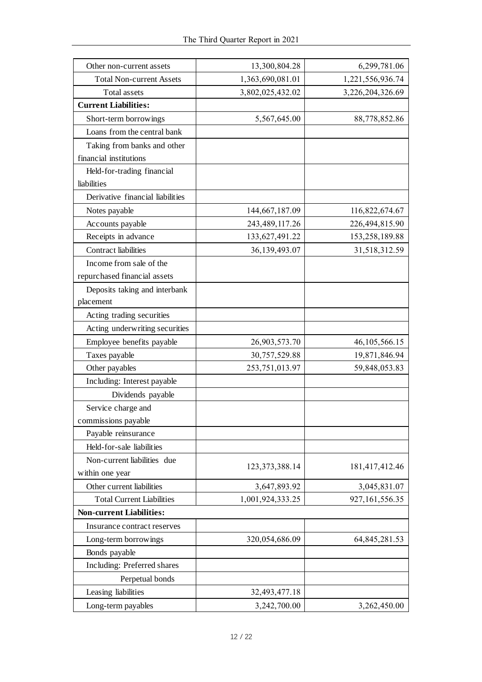| Other non-current assets         | 13,300,804.28<br>6,299,781.06 |                   |
|----------------------------------|-------------------------------|-------------------|
| <b>Total Non-current Assets</b>  | 1,363,690,081.01              | 1,221,556,936.74  |
| <b>Total assets</b>              | 3,802,025,432.02              | 3,226,204,326.69  |
| <b>Current Liabilities:</b>      |                               |                   |
| Short-term borrowings            | 5,567,645.00                  | 88,778,852.86     |
| Loans from the central bank      |                               |                   |
| Taking from banks and other      |                               |                   |
| financial institutions           |                               |                   |
| Held-for-trading financial       |                               |                   |
| liabilities                      |                               |                   |
| Derivative financial liabilities |                               |                   |
| Notes payable                    | 144,667,187.09                | 116,822,674.67    |
| Accounts payable                 | 243, 489, 117.26              | 226,494,815.90    |
| Receipts in advance              | 133, 627, 491. 22             | 153,258,189.88    |
| <b>Contract liabilities</b>      | 36,139,493.07                 | 31,518,312.59     |
| Income from sale of the          |                               |                   |
| repurchased financial assets     |                               |                   |
| Deposits taking and interbank    |                               |                   |
| placement                        |                               |                   |
| Acting trading securities        |                               |                   |
| Acting underwriting securities   |                               |                   |
| Employee benefits payable        | 26,903,573.70                 | 46, 105, 566. 15  |
| Taxes payable                    | 30,757,529.88                 | 19,871,846.94     |
| Other payables                   | 253,751,013.97                | 59,848,053.83     |
| Including: Interest payable      |                               |                   |
| Dividends payable                |                               |                   |
| Service charge and               |                               |                   |
| commissions payable              |                               |                   |
| Payable reinsurance              |                               |                   |
| Held-for-sale liabilities        |                               |                   |
| Non-current liabilities due      | 123, 373, 388. 14             | 181,417,412.46    |
| within one year                  |                               |                   |
| Other current liabilities        | 3,647,893.92                  | 3,045,831.07      |
| <b>Total Current Liabilities</b> | 1,001,924,333.25              | 927, 161, 556. 35 |
| <b>Non-current Liabilities:</b>  |                               |                   |
| Insurance contract reserves      |                               |                   |
| Long-term borrowings             | 320,054,686.09                | 64, 845, 281.53   |
| Bonds payable                    |                               |                   |
| Including: Preferred shares      |                               |                   |
| Perpetual bonds                  |                               |                   |
| Leasing liabilities              | 32,493,477.18                 |                   |
| Long-term payables               | 3,242,700.00                  | 3,262,450.00      |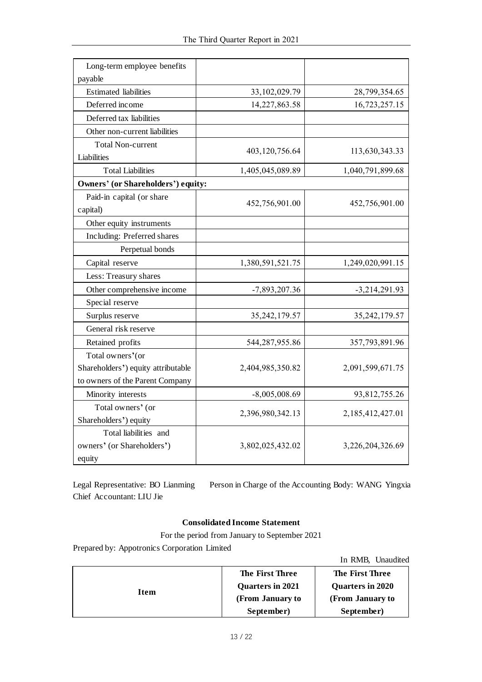| Long-term employee benefits               |                  |                  |
|-------------------------------------------|------------------|------------------|
| payable                                   |                  |                  |
| <b>Estimated</b> liabilities              | 33, 102, 029. 79 | 28,799,354.65    |
| Deferred income                           | 14,227,863.58    | 16,723,257.15    |
| Deferred tax liabilities                  |                  |                  |
| Other non-current liabilities             |                  |                  |
| <b>Total Non-current</b>                  | 403,120,756.64   | 113,630,343.33   |
| Liabilities                               |                  |                  |
| <b>Total Liabilities</b>                  | 1,405,045,089.89 | 1,040,791,899.68 |
| <b>Owners' (or Shareholders') equity:</b> |                  |                  |
| Paid-in capital (or share                 | 452,756,901.00   | 452,756,901.00   |
| capital)                                  |                  |                  |
| Other equity instruments                  |                  |                  |
| Including: Preferred shares               |                  |                  |
| Perpetual bonds                           |                  |                  |
| Capital reserve                           | 1,380,591,521.75 | 1,249,020,991.15 |
| Less: Treasury shares                     |                  |                  |
| Other comprehensive income                | $-7,893,207.36$  | $-3,214,291.93$  |
| Special reserve                           |                  |                  |
| Surplus reserve                           | 35, 242, 179.57  | 35, 242, 179.57  |
| General risk reserve                      |                  |                  |
| Retained profits                          | 544,287,955.86   | 357,793,891.96   |
| Total owners' (or                         |                  |                  |
| Shareholders') equity attributable        | 2,404,985,350.82 | 2,091,599,671.75 |
| to owners of the Parent Company           |                  |                  |
| Minority interests                        | $-8,005,008.69$  | 93,812,755.26    |
| Total owners' (or                         | 2,396,980,342.13 | 2,185,412,427.01 |
| Shareholders') equity                     |                  |                  |
| Total liabilities and                     |                  |                  |
| owners' (or Shareholders')                | 3,802,025,432.02 | 3,226,204,326.69 |
| equity                                    |                  |                  |

Legal Representative: BO Lianming Person in Charge of the Accounting Body: WANG Yingxia Chief Accountant: LIU Jie

## **Consolidated Income Statement**

For the period from January to September 2021

Prepared by: Appotronics Corporation Limited

|      |                  | In RMB, Unaudited      |
|------|------------------|------------------------|
|      | The First Three  | <b>The First Three</b> |
| Item | Quarters in 2021 | Quarters in 2020       |
|      | (From January to | (From January to       |
|      | September)       | September)             |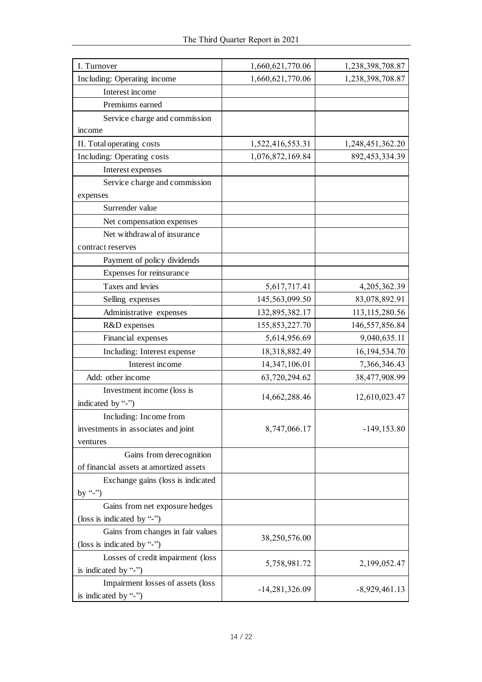| I. Turnover                             | 1,660,621,770.06 | 1,238,398,708.87  |
|-----------------------------------------|------------------|-------------------|
| Including: Operating income             | 1,660,621,770.06 | 1,238,398,708.87  |
| Interest income                         |                  |                   |
| Premiums earned                         |                  |                   |
| Service charge and commission           |                  |                   |
| mcome                                   |                  |                   |
| II. Total operating costs               | 1,522,416,553.31 | 1,248,451,362.20  |
| Including: Operating costs              | 1,076,872,169.84 | 892, 453, 334. 39 |
| Interest expenses                       |                  |                   |
| Service charge and commission           |                  |                   |
| expenses                                |                  |                   |
| Surrender value                         |                  |                   |
| Net compensation expenses               |                  |                   |
| Net withdrawal of insurance             |                  |                   |
| contract reserves                       |                  |                   |
| Payment of policy dividends             |                  |                   |
| Expenses for reinsurance                |                  |                   |
| Taxes and levies                        | 5,617,717.41     | 4,205,362.39      |
| Selling expenses                        | 145,563,099.50   | 83,078,892.91     |
| Administrative expenses                 | 132,895,382.17   | 113, 115, 280.56  |
| R&D expenses                            | 155,853,227.70   | 146,557,856.84    |
| Financial expenses                      | 5,614,956.69     | 9,040,635.11      |
| Including: Interest expense             | 18,318,882.49    | 16, 194, 534. 70  |
| Interest income                         | 14,347,106.01    | 7,366,346.43      |
| Add: other income                       | 63,720,294.62    | 38,477,908.99     |
| Investment income (loss is              |                  |                   |
| indicated by "-")                       | 14,662,288.46    | 12,610,023.47     |
| Including: Income from                  |                  |                   |
| investments in associates and joint     | 8,747,066.17     | $-149, 153.80$    |
| ventures                                |                  |                   |
| Gains from derecognition                |                  |                   |
| of financial assets at amortized assets |                  |                   |
| Exchange gains (loss is indicated       |                  |                   |
| by "-"                                  |                  |                   |
| Gains from net exposure hedges          |                  |                   |
| (loss is indicated by "-")              |                  |                   |
| Gains from changes in fair values       | 38,250,576.00    |                   |
| (loss is indicated by "-")              |                  |                   |
| Losses of credit impairment (loss       | 5,758,981.72     | 2,199,052.47      |
| is indicated by "-")                    |                  |                   |
| Impairment losses of assets (loss       | $-14,281,326.09$ | $-8,929,461.13$   |
| is indicated by "-")                    |                  |                   |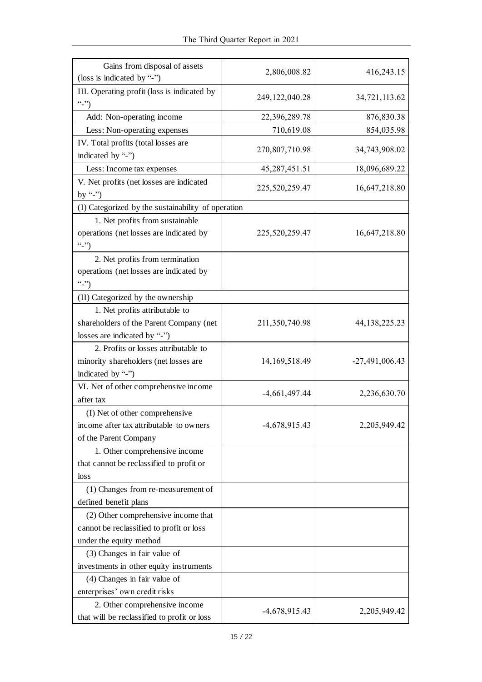| Gains from disposal of assets                      |                   |                  |
|----------------------------------------------------|-------------------|------------------|
| (loss is indicated by "-")                         | 2,806,008.82      | 416,243.15       |
| III. Operating profit (loss is indicated by        |                   |                  |
| (2, 2)                                             | 249, 122, 040. 28 | 34,721,113.62    |
| Add: Non-operating income                          | 22,396,289.78     | 876,830.38       |
| Less: Non-operating expenses                       | 710,619.08        | 854,035.98       |
| IV. Total profits (total losses are                |                   |                  |
| indicated by "-")                                  | 270,807,710.98    | 34,743,908.02    |
| Less: Income tax expenses                          | 45, 287, 451. 51  | 18,096,689.22    |
| V. Net profits (net losses are indicated           |                   |                  |
| by "-")                                            | 225,520,259.47    | 16,647,218.80    |
| (I) Categorized by the sustainability of operation |                   |                  |
| 1. Net profits from sustainable                    |                   |                  |
| operations (net losses are indicated by            | 225,520,259.47    | 16,647,218.80    |
| $``-")$                                            |                   |                  |
| 2. Net profits from termination                    |                   |                  |
| operations (net losses are indicated by            |                   |                  |
| (2, 2)                                             |                   |                  |
| (II) Categorized by the ownership                  |                   |                  |
| 1. Net profits attributable to                     |                   |                  |
| shareholders of the Parent Company (net            | 211,350,740.98    | 44, 138, 225. 23 |
| losses are indicated by "-")                       |                   |                  |
| 2. Profits or losses attributable to               |                   |                  |
| minority shareholders (net losses are              | 14, 169, 518. 49  | $-27,491,006.43$ |
| indicated by "-")                                  |                   |                  |
| VI. Net of other comprehensive income              |                   |                  |
| after tax                                          | $-4,661,497.44$   | 2,236,630.70     |
| (I) Net of other comprehensive                     |                   |                  |
| income after tax attributable to owners            | $-4,678,915.43$   | 2,205,949.42     |
| of the Parent Company                              |                   |                  |
| 1. Other comprehensive income                      |                   |                  |
| that cannot be reclassified to profit or           |                   |                  |
| loss                                               |                   |                  |
| (1) Changes from re-measurement of                 |                   |                  |
| defined benefit plans                              |                   |                  |
| (2) Other comprehensive income that                |                   |                  |
| cannot be reclassified to profit or loss           |                   |                  |
| under the equity method                            |                   |                  |
| (3) Changes in fair value of                       |                   |                  |
| investments in other equity instruments            |                   |                  |
| (4) Changes in fair value of                       |                   |                  |
| enterprises' own credit risks                      |                   |                  |
| 2. Other comprehensive income                      |                   |                  |
| that will be reclassified to profit or loss        | $-4,678,915.43$   | 2,205,949.42     |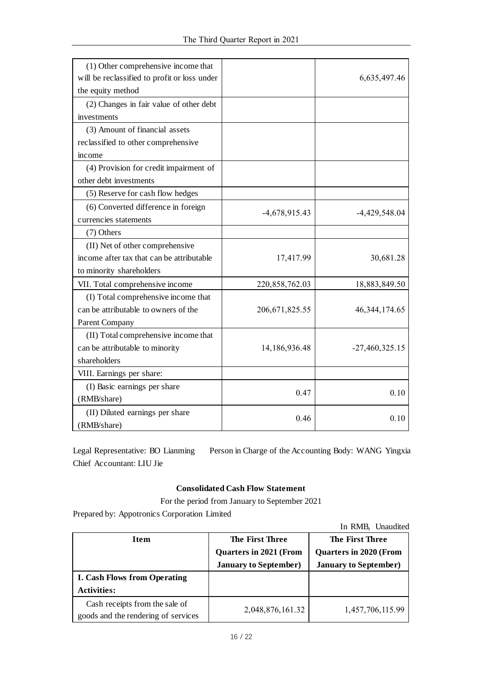| (1) Other comprehensive income that<br>will be reclassified to profit or loss under<br>the equity method |                  | 6,635,497.46     |
|----------------------------------------------------------------------------------------------------------|------------------|------------------|
| (2) Changes in fair value of other debt                                                                  |                  |                  |
| investments                                                                                              |                  |                  |
| (3) Amount of financial assets                                                                           |                  |                  |
| reclassified to other comprehensive                                                                      |                  |                  |
| income                                                                                                   |                  |                  |
| (4) Provision for credit impairment of                                                                   |                  |                  |
| other debt investments                                                                                   |                  |                  |
| (5) Reserve for cash flow hedges                                                                         |                  |                  |
| (6) Converted difference in foreign                                                                      |                  |                  |
| currencies statements                                                                                    | $-4,678,915.43$  | $-4,429,548.04$  |
| $(7)$ Others                                                                                             |                  |                  |
| (II) Net of other comprehensive                                                                          |                  |                  |
| income after tax that can be attributable                                                                | 17,417.99        | 30,681.28        |
| to minority shareholders                                                                                 |                  |                  |
| VII. Total comprehensive income                                                                          | 220,858,762.03   | 18,883,849.50    |
| (I) Total comprehensive income that                                                                      |                  |                  |
| can be attributable to owners of the                                                                     | 206, 671, 825.55 | 46, 344, 174. 65 |
| Parent Company                                                                                           |                  |                  |
| (II) Total comprehensive income that                                                                     |                  |                  |
| can be attributable to minority                                                                          | 14,186,936.48    | $-27,460,325.15$ |
| shareholders                                                                                             |                  |                  |
| VIII. Earnings per share:                                                                                |                  |                  |
| (I) Basic earnings per share                                                                             | 0.47             | 0.10             |
| (RMB/share)                                                                                              |                  |                  |
| (II) Diluted earnings per share<br>(RMB/share)                                                           | 0.46             | 0.10             |

Legal Representative: BO Lianming Person in Charge of the Accounting Body: WANG Yingxia Chief Accountant: LIU Jie

## **Consolidated Cash Flow Statement**

For the period from January to September 2021

Prepared by: Appotronics Corporation Limited

|                                                                       |                                                  | In RMB, Unaudited             |  |
|-----------------------------------------------------------------------|--------------------------------------------------|-------------------------------|--|
| <b>Item</b>                                                           | <b>The First Three</b><br><b>The First Three</b> |                               |  |
|                                                                       | <b>Quarters in 2021 (From</b>                    | <b>Quarters in 2020 (From</b> |  |
|                                                                       | <b>January to September)</b>                     | <b>January to September</b> ) |  |
| <b>I. Cash Flows from Operating</b>                                   |                                                  |                               |  |
| <b>Activities:</b>                                                    |                                                  |                               |  |
| Cash receipts from the sale of<br>goods and the rendering of services | 2,048,876,161.32                                 | 1,457,706,115.99              |  |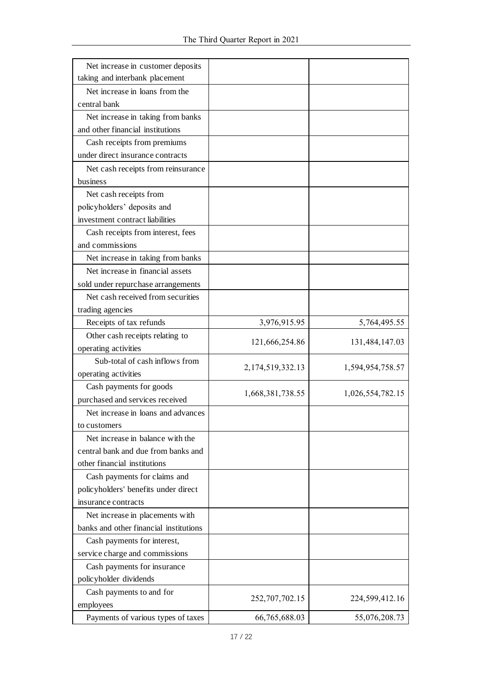| Net increase in customer deposits      |                  |                  |
|----------------------------------------|------------------|------------------|
| taking and interbank placement         |                  |                  |
| Net increase in loans from the         |                  |                  |
| central bank                           |                  |                  |
| Net increase in taking from banks      |                  |                  |
| and other financial institutions       |                  |                  |
| Cash receipts from premiums            |                  |                  |
| under direct insurance contracts       |                  |                  |
| Net cash receipts from reinsurance     |                  |                  |
| business                               |                  |                  |
| Net cash receipts from                 |                  |                  |
| policyholders' deposits and            |                  |                  |
| investment contract liabilities        |                  |                  |
| Cash receipts from interest, fees      |                  |                  |
| and commissions                        |                  |                  |
| Net increase in taking from banks      |                  |                  |
| Net increase in financial assets       |                  |                  |
| sold under repurchase arrangements     |                  |                  |
| Net cash received from securities      |                  |                  |
| trading agencies                       |                  |                  |
| Receipts of tax refunds                | 3,976,915.95     | 5,764,495.55     |
| Other cash receipts relating to        |                  |                  |
| operating activities                   | 121,666,254.86   | 131,484,147.03   |
| Sub-total of cash inflows from         |                  |                  |
| operating activities                   | 2,174,519,332.13 | 1,594,954,758.57 |
| Cash payments for goods                |                  |                  |
| purchased and services received        | 1,668,381,738.55 | 1,026,554,782.15 |
| Net increase in loans and advances     |                  |                  |
| to customers                           |                  |                  |
| Net increase in balance with the       |                  |                  |
| central bank and due from banks and    |                  |                  |
| other financial institutions           |                  |                  |
| Cash payments for claims and           |                  |                  |
| policyholders' benefits under direct   |                  |                  |
| insurance contracts                    |                  |                  |
| Net increase in placements with        |                  |                  |
| banks and other financial institutions |                  |                  |
| Cash payments for interest,            |                  |                  |
| service charge and commissions         |                  |                  |
| Cash payments for insurance            |                  |                  |
| policyholder dividends                 |                  |                  |
| Cash payments to and for               |                  |                  |
| employees                              | 252,707,702.15   | 224,599,412.16   |
| Payments of various types of taxes     | 66,765,688.03    | 55,076,208.73    |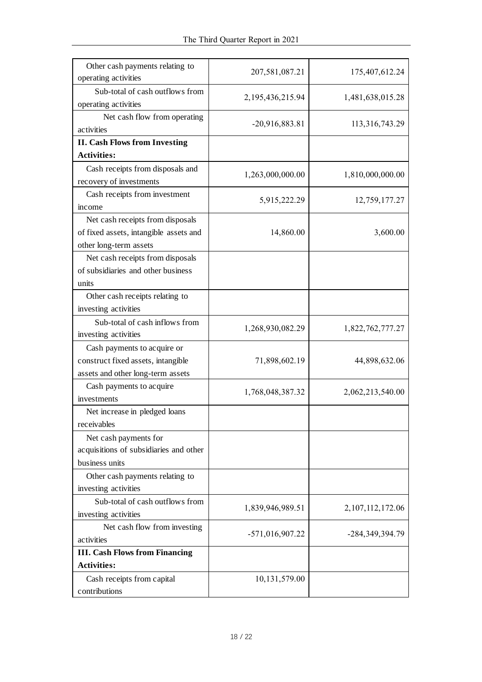| Other cash payments relating to<br>operating activities                                                | 207,581,087.21    | 175,407,612.24      |
|--------------------------------------------------------------------------------------------------------|-------------------|---------------------|
| Sub-total of cash outflows from<br>operating activities                                                | 2,195,436,215.94  | 1,481,638,015.28    |
| Net cash flow from operating<br>activities                                                             | $-20,916,883.81$  | 113,316,743.29      |
| <b>II. Cash Flows from Investing</b>                                                                   |                   |                     |
| <b>Activities:</b>                                                                                     |                   |                     |
| Cash receipts from disposals and<br>recovery of investments                                            | 1,263,000,000.00  | 1,810,000,000.00    |
| Cash receipts from investment<br>income                                                                | 5,915,222.29      | 12,759,177.27       |
| Net cash receipts from disposals<br>of fixed assets, intangible assets and<br>other long-term assets   | 14,860.00         | 3,600.00            |
| Net cash receipts from disposals<br>of subsidiaries and other business<br>units                        |                   |                     |
| Other cash receipts relating to<br>investing activities                                                |                   |                     |
| Sub-total of cash inflows from<br>investing activities                                                 | 1,268,930,082.29  | 1,822,762,777.27    |
| Cash payments to acquire or<br>construct fixed assets, intangible<br>assets and other long-term assets | 71,898,602.19     | 44,898,632.06       |
| Cash payments to acquire<br>investments                                                                | 1,768,048,387.32  | 2,062,213,540.00    |
| Net increase in pledged loans<br>receivables                                                           |                   |                     |
| Net cash payments for<br>acquisitions of subsidiaries and other<br>business units                      |                   |                     |
| Other cash payments relating to<br>investing activities                                                |                   |                     |
| Sub-total of cash outflows from<br>investing activities                                                | 1,839,946,989.51  | 2, 107, 112, 172.06 |
| Net cash flow from investing<br>activities                                                             | $-571,016,907.22$ | -284, 349, 394. 79  |
| <b>III. Cash Flows from Financing</b>                                                                  |                   |                     |
| <b>Activities:</b>                                                                                     |                   |                     |
| Cash receipts from capital<br>contributions                                                            | 10,131,579.00     |                     |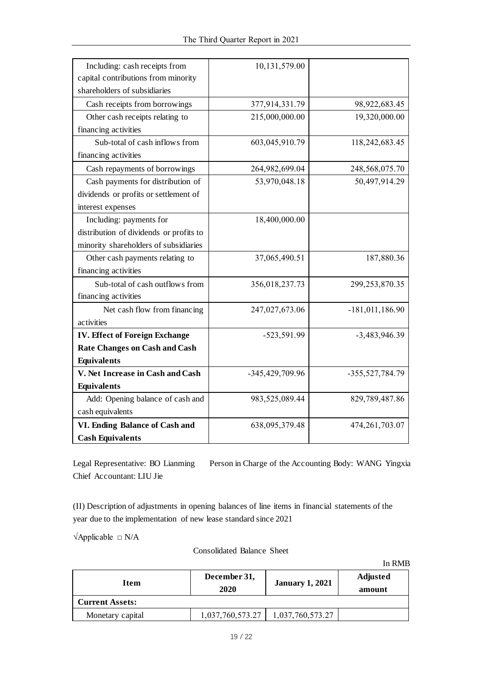| Including: cash receipts from           | 10,131,579.00   |                   |
|-----------------------------------------|-----------------|-------------------|
| capital contributions from minority     |                 |                   |
| shareholders of subsidiaries            |                 |                   |
| Cash receipts from borrowings           | 377,914,331.79  | 98,922,683.45     |
| Other cash receipts relating to         | 215,000,000.00  | 19,320,000.00     |
| financing activities                    |                 |                   |
| Sub-total of cash inflows from          | 603,045,910.79  | 118,242,683.45    |
| financing activities                    |                 |                   |
| Cash repayments of borrowings           | 264,982,699.04  | 248,568,075.70    |
| Cash payments for distribution of       | 53,970,048.18   | 50,497,914.29     |
| dividends or profits or settlement of   |                 |                   |
| interest expenses                       |                 |                   |
| Including: payments for                 | 18,400,000.00   |                   |
| distribution of dividends or profits to |                 |                   |
| minority shareholders of subsidiaries   |                 |                   |
| Other cash payments relating to         | 37,065,490.51   | 187,880.36        |
| financing activities                    |                 |                   |
| Sub-total of cash outflows from         | 356,018,237.73  | 299,253,870.35    |
| financing activities                    |                 |                   |
| Net cash flow from financing            | 247,027,673.06  | $-181,011,186.90$ |
| activities                              |                 |                   |
| <b>IV. Effect of Foreign Exchange</b>   | -523,591.99     | $-3,483,946.39$   |
| <b>Rate Changes on Cash and Cash</b>    |                 |                   |
| <b>Equivalents</b>                      |                 |                   |
| V. Net Increase in Cash and Cash        | -345,429,709.96 | -355,527,784.79   |
| <b>Equivalents</b>                      |                 |                   |
| Add: Opening balance of cash and        | 983,525,089.44  | 829,789,487.86    |
| cash equivalents                        |                 |                   |
| VI. Ending Balance of Cash and          | 638,095,379.48  | 474, 261, 703.07  |
| <b>Cash Equivalents</b>                 |                 |                   |

Legal Representative: BO Lianming Person in Charge of the Accounting Body: WANG Yingxia Chief Accountant: LIU Jie

(II) Description of adjustments in opening balances of line items in financial statements of the year due to the implementation of new lease standard since 2021

 $\forall$ Applicable  $\Box$  N/A

Consolidated Balance Sheet

|                        |                             |                        | In RMB                    |
|------------------------|-----------------------------|------------------------|---------------------------|
| Item                   | December 31,<br><b>2020</b> | <b>January 1, 2021</b> | <b>Adjusted</b><br>amount |
| <b>Current Assets:</b> |                             |                        |                           |
| Monetary capital       | 1,037,760,573.27            | 1,037,760,573.27       |                           |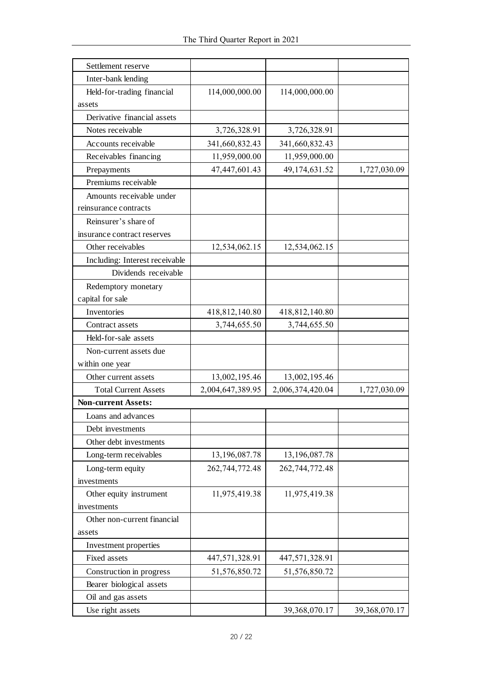| Settlement reserve             |                  |                  |               |
|--------------------------------|------------------|------------------|---------------|
| Inter-bank lending             |                  |                  |               |
| Held-for-trading financial     | 114,000,000.00   | 114,000,000.00   |               |
| assets                         |                  |                  |               |
| Derivative financial assets    |                  |                  |               |
| Notes receivable               | 3,726,328.91     | 3,726,328.91     |               |
| Accounts receivable            | 341,660,832.43   | 341,660,832.43   |               |
| Receivables financing          | 11,959,000.00    | 11,959,000.00    |               |
| Prepayments                    | 47,447,601.43    | 49,174,631.52    | 1,727,030.09  |
| Premiums receivable            |                  |                  |               |
| Amounts receivable under       |                  |                  |               |
| reinsurance contracts          |                  |                  |               |
| Reinsurer's share of           |                  |                  |               |
| insurance contract reserves    |                  |                  |               |
| Other receivables              | 12,534,062.15    | 12,534,062.15    |               |
| Including: Interest receivable |                  |                  |               |
| Dividends receivable           |                  |                  |               |
| Redemptory monetary            |                  |                  |               |
| capital for sale               |                  |                  |               |
| Inventories                    | 418,812,140.80   | 418,812,140.80   |               |
| Contract assets                | 3,744,655.50     | 3,744,655.50     |               |
| Held-for-sale assets           |                  |                  |               |
| Non-current assets due         |                  |                  |               |
| within one year                |                  |                  |               |
| Other current assets           | 13,002,195.46    | 13,002,195.46    |               |
| <b>Total Current Assets</b>    | 2,004,647,389.95 | 2,006,374,420.04 | 1,727,030.09  |
| <b>Non-current Assets:</b>     |                  |                  |               |
| Loans and advances             |                  |                  |               |
| Debt investments               |                  |                  |               |
| Other debt investments         |                  |                  |               |
| Long-term receivables          | 13,196,087.78    | 13,196,087.78    |               |
| Long-term equity               | 262,744,772.48   | 262,744,772.48   |               |
| investments                    |                  |                  |               |
| Other equity instrument        | 11,975,419.38    | 11,975,419.38    |               |
| investments                    |                  |                  |               |
| Other non-current financial    |                  |                  |               |
| assets                         |                  |                  |               |
| Investment properties          |                  |                  |               |
| Fixed assets                   | 447,571,328.91   | 447,571,328.91   |               |
| Construction in progress       | 51,576,850.72    | 51,576,850.72    |               |
| Bearer biological assets       |                  |                  |               |
| Oil and gas assets             |                  |                  |               |
| Use right assets               |                  | 39,368,070.17    | 39,368,070.17 |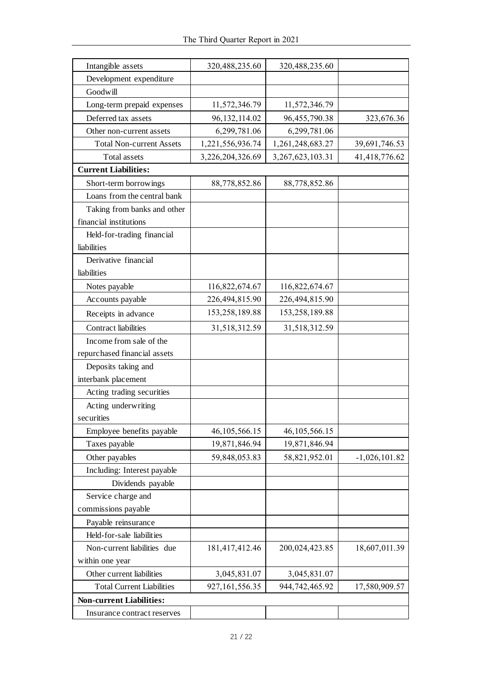| Intangible assets                | 320,488,235.60    | 320,488,235.60       |                 |  |
|----------------------------------|-------------------|----------------------|-----------------|--|
| Development expenditure          |                   |                      |                 |  |
| Goodwill                         |                   |                      |                 |  |
| Long-term prepaid expenses       | 11,572,346.79     | 11,572,346.79        |                 |  |
| Deferred tax assets              | 96, 132, 114.02   | 96,455,790.38        | 323,676.36      |  |
| Other non-current assets         | 6,299,781.06      | 6,299,781.06         |                 |  |
| <b>Total Non-current Assets</b>  | 1,221,556,936.74  | 1,261,248,683.27     | 39,691,746.53   |  |
| <b>Total assets</b>              | 3,226,204,326.69  | 3, 267, 623, 103. 31 | 41,418,776.62   |  |
| <b>Current Liabilities:</b>      |                   |                      |                 |  |
| Short-term borrowings            | 88,778,852.86     | 88,778,852.86        |                 |  |
| Loans from the central bank      |                   |                      |                 |  |
| Taking from banks and other      |                   |                      |                 |  |
| financial institutions           |                   |                      |                 |  |
| Held-for-trading financial       |                   |                      |                 |  |
| liabilities                      |                   |                      |                 |  |
| Derivative financial             |                   |                      |                 |  |
| liabilities                      |                   |                      |                 |  |
| Notes payable                    | 116,822,674.67    | 116,822,674.67       |                 |  |
| Accounts payable                 | 226,494,815.90    | 226,494,815.90       |                 |  |
| Receipts in advance              | 153,258,189.88    | 153,258,189.88       |                 |  |
| <b>Contract liabilities</b>      | 31,518,312.59     | 31,518,312.59        |                 |  |
| Income from sale of the          |                   |                      |                 |  |
| repurchased financial assets     |                   |                      |                 |  |
| Deposits taking and              |                   |                      |                 |  |
| interbank placement              |                   |                      |                 |  |
| Acting trading securities        |                   |                      |                 |  |
| Acting underwriting              |                   |                      |                 |  |
| securities                       |                   |                      |                 |  |
| Employee benefits payable        | 46, 105, 566. 15  | 46, 105, 566. 15     |                 |  |
| Taxes payable                    | 19,871,846.94     | 19,871,846.94        |                 |  |
| Other payables                   | 59,848,053.83     | 58,821,952.01        | $-1,026,101.82$ |  |
| Including: Interest payable      |                   |                      |                 |  |
| Dividends payable                |                   |                      |                 |  |
| Service charge and               |                   |                      |                 |  |
| commissions payable              |                   |                      |                 |  |
| Payable reinsurance              |                   |                      |                 |  |
| Held-for-sale liabilities        |                   |                      |                 |  |
| Non-current liabilities due      | 181,417,412.46    | 200,024,423.85       | 18,607,011.39   |  |
| within one year                  |                   |                      |                 |  |
| Other current liabilities        | 3,045,831.07      | 3,045,831.07         |                 |  |
| <b>Total Current Liabilities</b> | 927, 161, 556. 35 | 944,742,465.92       | 17,580,909.57   |  |
| <b>Non-current Liabilities:</b>  |                   |                      |                 |  |
| Insurance contract reserves      |                   |                      |                 |  |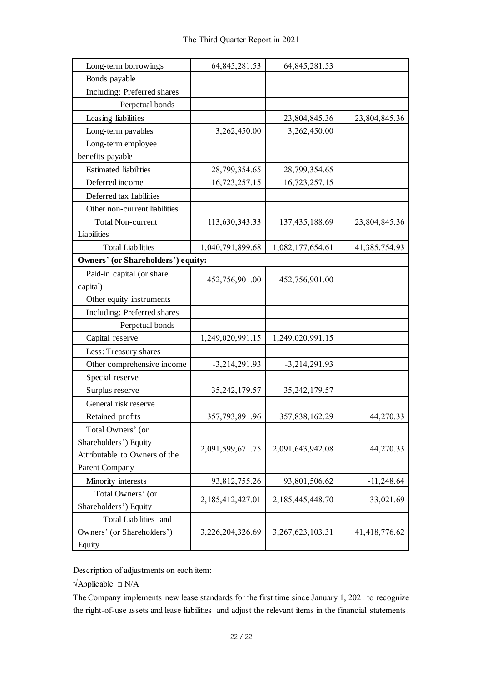| Long-term borrowings<br>Bonds payable | 64, 845, 281.53  | 64, 845, 281.53      |               |
|---------------------------------------|------------------|----------------------|---------------|
|                                       |                  |                      |               |
| Including: Preferred shares           |                  |                      |               |
| Perpetual bonds                       |                  |                      |               |
| Leasing liabilities                   |                  | 23,804,845.36        | 23,804,845.36 |
| Long-term payables                    | 3,262,450.00     | 3,262,450.00         |               |
| Long-term employee                    |                  |                      |               |
| benefits payable                      |                  |                      |               |
| <b>Estimated</b> liabilities          | 28,799,354.65    | 28,799,354.65        |               |
| Deferred income                       | 16,723,257.15    | 16,723,257.15        |               |
| Deferred tax liabilities              |                  |                      |               |
| Other non-current liabilities         |                  |                      |               |
| <b>Total Non-current</b>              | 113,630,343.33   | 137, 435, 188.69     | 23,804,845.36 |
| Liabilities                           |                  |                      |               |
| <b>Total Liabilities</b>              | 1,040,791,899.68 | 1,082,177,654.61     | 41,385,754.93 |
| Owners' (or Shareholders') equity:    |                  |                      |               |
| Paid-in capital (or share             |                  |                      |               |
| capital)                              | 452,756,901.00   | 452,756,901.00       |               |
| Other equity instruments              |                  |                      |               |
| Including: Preferred shares           |                  |                      |               |
| Perpetual bonds                       |                  |                      |               |
| Capital reserve                       | 1,249,020,991.15 | 1,249,020,991.15     |               |
| Less: Treasury shares                 |                  |                      |               |
| Other comprehensive income            | $-3,214,291.93$  | $-3,214,291.93$      |               |
| Special reserve                       |                  |                      |               |
| Surplus reserve                       | 35, 242, 179.57  | 35, 242, 179.57      |               |
| General risk reserve                  |                  |                      |               |
| Retained profits                      | 357,793,891.96   | 357,838,162.29       | 44,270.33     |
| Total Owners' (or                     |                  |                      |               |
| Shareholders') Equity                 |                  |                      |               |
| Attributable to Owners of the         | 2,091,599,671.75 | 2,091,643,942.08     | 44,270.33     |
| Parent Company                        |                  |                      |               |
| Minority interests                    | 93,812,755.26    | 93,801,506.62        | $-11,248.64$  |
| Total Owners' (or                     |                  |                      |               |
| Shareholders') Equity                 | 2,185,412,427.01 | 2, 185, 445, 448. 70 | 33,021.69     |
| Total Liabilities and                 |                  |                      |               |
| Owners' (or Shareholders')            | 3,226,204,326.69 | 3, 267, 623, 103. 31 | 41,418,776.62 |
| Equity                                |                  |                      |               |
|                                       |                  |                      |               |

Description of adjustments on each item:

√Applicable □ N/A

The Company implements new lease standards for the first time since January 1, 2021 to recognize the right-of-use assets and lease liabilities and adjust the relevant items in the financial statements.